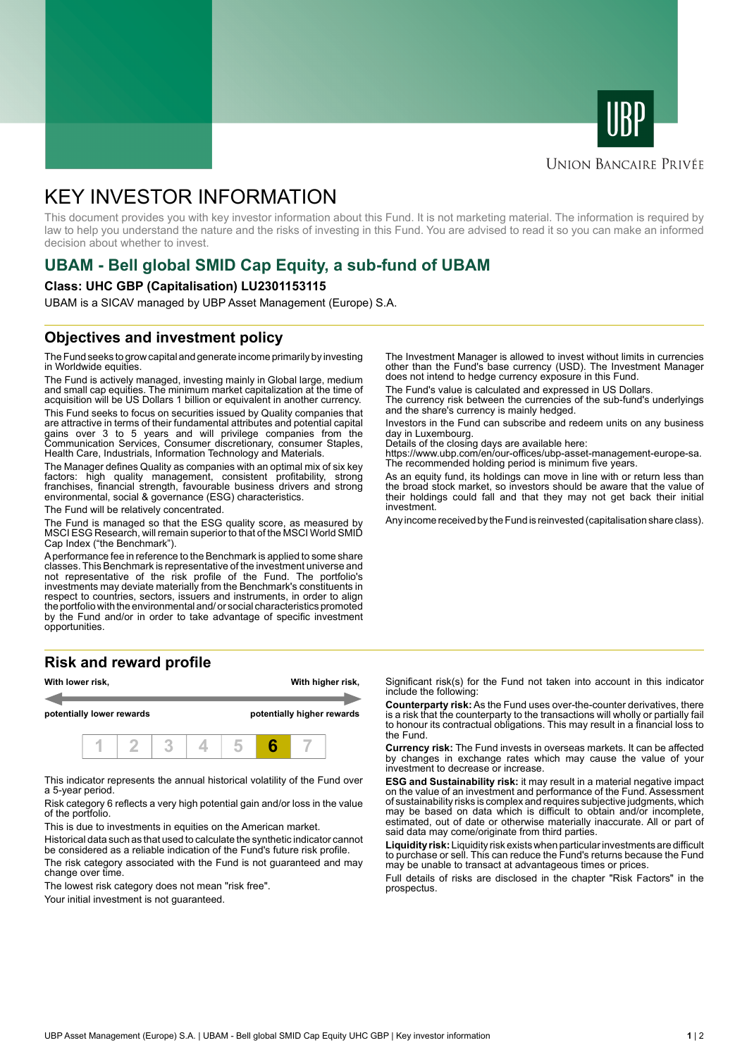



### **UNION BANCAIRE PRIVÉE**

# KEY INVESTOR INFORMATION

This document provides you with key investor information about this Fund. It is not marketing material. The information is required by law to help you understand the nature and the risks of investing in this Fund. You are advised to read it so you can make an informed decision about whether to invest.

# **UBAM - Bell global SMID Cap Equity, a sub-fund of UBAM**

#### **Class: UHC GBP (Capitalisation) LU2301153115**

UBAM is a SICAV managed by UBP Asset Management (Europe) S.A.

# **Objectives and investment policy**

The Fund seeks to grow capital and generate income primarily by investing in Worldwide equities.

The Fund is actively managed, investing mainly in Global large, medium and small cap equities. The minimum market capitalization at the time of acquisition will be US Dollars 1 billion or equivalent in another currency.

This Fund seeks to focus on securities issued by Quality companies that are attractive in terms of their fundamental attributes and potential capital gains over 3 to 5 years and will privilege companies from the Communication Services, Consumer discretionary, consumer Staples, Health Care, Industrials, Information Technology and Materials.

The Manager defines Quality as companies with an optimal mix of six key factors: high quality management, consistent profitability, strong franchises, financial strength, favourable business drivers and strong environmental, social & governance (ESG) characteristics.

The Fund will be relatively concentrated.

The Fund is managed so that the ESG quality score, as measured by MSCI ESG Research, will remain superior to that of the MSCI World SMID Cap Index ("the Benchmark").

A performance fee in reference to the Benchmark is applied to some share classes. This Benchmark is representative of the investment universe and not representative of the risk profile of the Fund. The portfolio's investments may deviate materially from the Benchmark's constituents in respect to countries, sectors, issuers and instruments, in order to align the portfolio with the environmental and/ or social characteristics promoted by the Fund and/or in order to take advantage of specific investment opportunities.

# **Risk and reward profile**



This indicator represents the annual historical volatility of the Fund over a 5-year period.

Risk category 6 reflects a very high potential gain and/or loss in the value of the portfolio.

This is due to investments in equities on the American market.

Historical data such as that used to calculate the synthetic indicator cannot be considered as a reliable indication of the Fund's future risk profile.

The risk category associated with the Fund is not guaranteed and may change over time.

The lowest risk category does not mean "risk free".

Your initial investment is not quaranteed.

The Investment Manager is allowed to invest without limits in currencies other than the Fund's base currency (USD). The Investment Manager does not intend to hedge currency exposure in this Fund.

The Fund's value is calculated and expressed in US Dollars.

The currency risk between the currencies of the sub-fund's underlyings and the share's currency is mainly hedged.

Investors in the Fund can subscribe and redeem units on any business day in Luxembourg.

Details of the closing days are available here:

https://www.ubp.com/en/our-offices/ubp-asset-management-europe-sa. The recommended holding period is minimum five years.

As an equity fund, its holdings can move in line with or return less than the broad stock market, so investors should be aware that the value of their holdings could fall and that they may not get back their initial investment.

Any income received by the Fund is reinvested (capitalisation share class).

Significant risk(s) for the Fund not taken into account in this indicator include the following:

**Counterparty risk:** As the Fund uses over-the-counter derivatives, there is a risk that the counterparty to the transactions will wholly or partially fail to honour its contractual obligations. This may result in a financial loss to the Fund.

**Currency risk:** The Fund invests in overseas markets. It can be affected by changes in exchange rates which may cause the value of your investment to decrease or increase.

**ESG and Sustainability risk:** it may result in a material negative impact on the value of an investment and performance of the Fund. Assessment of sustainability risks is complex and requires subjective judgments, which may be based on data which is difficult to obtain and/or incomplete, estimated, out of date or otherwise materially inaccurate. All or part of said data may come/originate from third parties.

**Liquidity risk:** Liquidity risk exists when particular investments are difficult to purchase or sell. This can reduce the Fund's returns because the Fund may be unable to transact at advantageous times or prices.

Full details of risks are disclosed in the chapter "Risk Factors" in the prospectus.